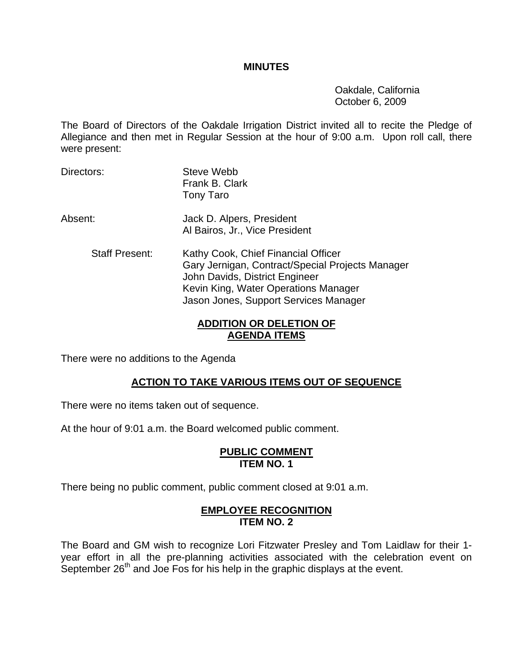#### **MINUTES**

 Oakdale, California October 6, 2009

The Board of Directors of the Oakdale Irrigation District invited all to recite the Pledge of Allegiance and then met in Regular Session at the hour of 9:00 a.m. Upon roll call, there were present:

- Directors: Steve Webb Frank B. Clark Tony Taro
- Absent: Jack D. Alpers, President Al Bairos, Jr., Vice President
	- Staff Present: Kathy Cook, Chief Financial Officer Gary Jernigan, Contract/Special Projects Manager John Davids, District Engineer Kevin King, Water Operations Manager Jason Jones, Support Services Manager

## **ADDITION OR DELETION OF AGENDA ITEMS**

There were no additions to the Agenda

## **ACTION TO TAKE VARIOUS ITEMS OUT OF SEQUENCE**

There were no items taken out of sequence.

At the hour of 9:01 a.m. the Board welcomed public comment.

### **PUBLIC COMMENT ITEM NO. 1**

There being no public comment, public comment closed at 9:01 a.m.

## **EMPLOYEE RECOGNITION ITEM NO. 2**

The Board and GM wish to recognize Lori Fitzwater Presley and Tom Laidlaw for their 1 year effort in all the pre-planning activities associated with the celebration event on September 26<sup>th</sup> and Joe Fos for his help in the graphic displays at the event.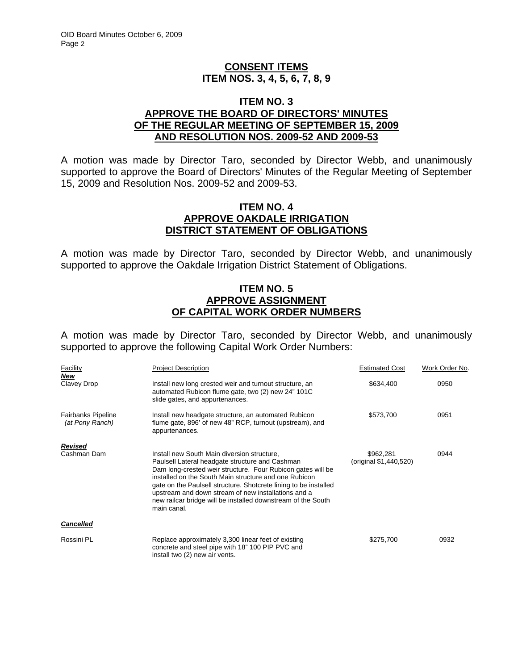## **CONSENT ITEMS ITEM NOS. 3, 4, 5, 6, 7, 8, 9**

### **ITEM NO. 3 APPROVE THE BOARD OF DIRECTORS' MINUTES OF THE REGULAR MEETING OF SEPTEMBER 15, 2009 AND RESOLUTION NOS. 2009-52 AND 2009-53**

A motion was made by Director Taro, seconded by Director Webb, and unanimously supported to approve the Board of Directors' Minutes of the Regular Meeting of September 15, 2009 and Resolution Nos. 2009-52 and 2009-53.

### **ITEM NO. 4 APPROVE OAKDALE IRRIGATION DISTRICT STATEMENT OF OBLIGATIONS**

A motion was made by Director Taro, seconded by Director Webb, and unanimously supported to approve the Oakdale Irrigation District Statement of Obligations.

## **ITEM NO. 5 APPROVE ASSIGNMENT OF CAPITAL WORK ORDER NUMBERS**

A motion was made by Director Taro, seconded by Director Webb, and unanimously supported to approve the following Capital Work Order Numbers:

| Facility                                     | <b>Project Description</b>                                                                                                                                                                                                                                                                                                                                                                                                       | <b>Estimated Cost</b>               | Work Order No. |
|----------------------------------------------|----------------------------------------------------------------------------------------------------------------------------------------------------------------------------------------------------------------------------------------------------------------------------------------------------------------------------------------------------------------------------------------------------------------------------------|-------------------------------------|----------------|
| New<br>Clavey Drop                           | Install new long crested weir and turnout structure, an<br>automated Rubicon flume gate, two (2) new 24" 101C<br>slide gates, and appurtenances.                                                                                                                                                                                                                                                                                 | \$634,400                           | 0950           |
| <b>Fairbanks Pipeline</b><br>(at Pony Ranch) | Install new headgate structure, an automated Rubicon<br>flume gate, 896' of new 48" RCP, turnout (upstream), and<br>appurtenances.                                                                                                                                                                                                                                                                                               | \$573,700                           | 0951           |
| Revised                                      |                                                                                                                                                                                                                                                                                                                                                                                                                                  |                                     |                |
| Cashman Dam                                  | Install new South Main diversion structure,<br>Paulsell Lateral headgate structure and Cashman<br>Dam long-crested weir structure. Four Rubicon gates will be<br>installed on the South Main structure and one Rubicon<br>gate on the Paulsell structure. Shotcrete lining to be installed<br>upstream and down stream of new installations and a<br>new railcar bridge will be installed downstream of the South<br>main canal. | \$962,281<br>(original \$1,440,520) | 0944           |
| <b>Cancelled</b>                             |                                                                                                                                                                                                                                                                                                                                                                                                                                  |                                     |                |
| Rossini PL                                   | Replace approximately 3,300 linear feet of existing<br>concrete and steel pipe with 18" 100 PIP PVC and<br>install two (2) new air vents.                                                                                                                                                                                                                                                                                        | \$275,700                           | 0932           |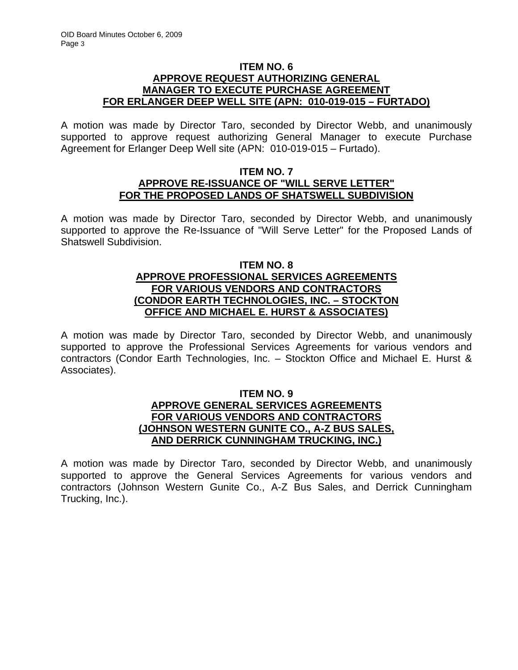### **ITEM NO. 6 APPROVE REQUEST AUTHORIZING GENERAL MANAGER TO EXECUTE PURCHASE AGREEMENT FOR ERLANGER DEEP WELL SITE (APN: 010-019-015 – FURTADO)**

A motion was made by Director Taro, seconded by Director Webb, and unanimously supported to approve request authorizing General Manager to execute Purchase Agreement for Erlanger Deep Well site (APN: 010-019-015 – Furtado).

#### **ITEM NO. 7 APPROVE RE-ISSUANCE OF "WILL SERVE LETTER" FOR THE PROPOSED LANDS OF SHATSWELL SUBDIVISION**

A motion was made by Director Taro, seconded by Director Webb, and unanimously supported to approve the Re-Issuance of "Will Serve Letter" for the Proposed Lands of Shatswell Subdivision.

## **ITEM NO. 8 APPROVE PROFESSIONAL SERVICES AGREEMENTS FOR VARIOUS VENDORS AND CONTRACTORS (CONDOR EARTH TECHNOLOGIES, INC. – STOCKTON OFFICE AND MICHAEL E. HURST & ASSOCIATES)**

A motion was made by Director Taro, seconded by Director Webb, and unanimously supported to approve the Professional Services Agreements for various vendors and contractors (Condor Earth Technologies, Inc. – Stockton Office and Michael E. Hurst & Associates).

## **ITEM NO. 9 APPROVE GENERAL SERVICES AGREEMENTS FOR VARIOUS VENDORS AND CONTRACTORS (JOHNSON WESTERN GUNITE CO., A-Z BUS SALES, AND DERRICK CUNNINGHAM TRUCKING, INC.)**

A motion was made by Director Taro, seconded by Director Webb, and unanimously supported to approve the General Services Agreements for various vendors and contractors (Johnson Western Gunite Co., A-Z Bus Sales, and Derrick Cunningham Trucking, Inc.).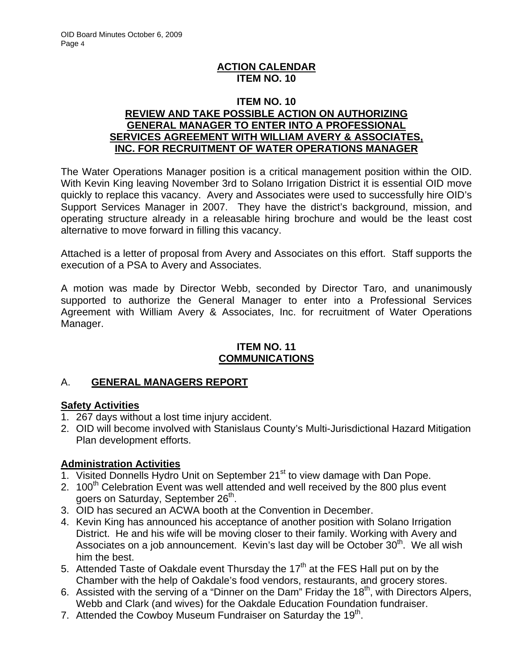## **ACTION CALENDAR ITEM NO. 10**

## **ITEM NO. 10 REVIEW AND TAKE POSSIBLE ACTION ON AUTHORIZING GENERAL MANAGER TO ENTER INTO A PROFESSIONAL SERVICES AGREEMENT WITH WILLIAM AVERY & ASSOCIATES, INC. FOR RECRUITMENT OF WATER OPERATIONS MANAGER**

The Water Operations Manager position is a critical management position within the OID. With Kevin King leaving November 3rd to Solano Irrigation District it is essential OID move quickly to replace this vacancy. Avery and Associates were used to successfully hire OID's Support Services Manager in 2007. They have the district's background, mission, and operating structure already in a releasable hiring brochure and would be the least cost alternative to move forward in filling this vacancy.

Attached is a letter of proposal from Avery and Associates on this effort. Staff supports the execution of a PSA to Avery and Associates.

A motion was made by Director Webb, seconded by Director Taro, and unanimously supported to authorize the General Manager to enter into a Professional Services Agreement with William Avery & Associates, Inc. for recruitment of Water Operations Manager.

## **ITEM NO. 11 COMMUNICATIONS**

# A. **GENERAL MANAGERS REPORT**

# **Safety Activities**

- 1. 267 days without a lost time injury accident.
- 2. OID will become involved with Stanislaus County's Multi-Jurisdictional Hazard Mitigation Plan development efforts.

## **Administration Activities**

- 1. Visited Donnells Hydro Unit on September 21<sup>st</sup> to view damage with Dan Pope.
- 2. 100<sup>th</sup> Celebration Event was well attended and well received by the 800 plus event goers on Saturday, September 26<sup>th</sup>.
- 3. OID has secured an ACWA booth at the Convention in December.
- 4. Kevin King has announced his acceptance of another position with Solano Irrigation District. He and his wife will be moving closer to their family. Working with Avery and Associates on a job announcement. Kevin's last day will be October 30<sup>th</sup>. We all wish him the best.
- 5. Attended Taste of Oakdale event Thursday the  $17<sup>th</sup>$  at the FES Hall put on by the Chamber with the help of Oakdale's food vendors, restaurants, and grocery stores.
- 6. Assisted with the serving of a "Dinner on the Dam" Friday the  $18<sup>th</sup>$ , with Directors Alpers, Webb and Clark (and wives) for the Oakdale Education Foundation fundraiser.
- 7. Attended the Cowboy Museum Fundraiser on Saturday the 19<sup>th</sup>.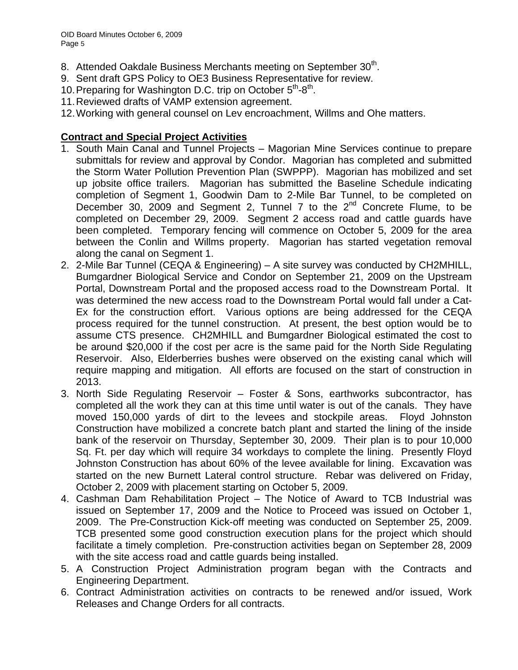- 8. Attended Oakdale Business Merchants meeting on September 30<sup>th</sup>.
- 9. Sent draft GPS Policy to OE3 Business Representative for review.
- 10. Preparing for Washington D.C. trip on October  $5<sup>th</sup>$ - $8<sup>th</sup>$ .
- 11. Reviewed drafts of VAMP extension agreement.
- 12. Working with general counsel on Lev encroachment, Willms and Ohe matters.

## **Contract and Special Project Activities**

- 1. South Main Canal and Tunnel Projects Magorian Mine Services continue to prepare submittals for review and approval by Condor. Magorian has completed and submitted the Storm Water Pollution Prevention Plan (SWPPP). Magorian has mobilized and set up jobsite office trailers. Magorian has submitted the Baseline Schedule indicating completion of Segment 1, Goodwin Dam to 2-Mile Bar Tunnel, to be completed on December 30, 2009 and Segment 2, Tunnel 7 to the  $2<sup>nd</sup>$  Concrete Flume, to be completed on December 29, 2009. Segment 2 access road and cattle guards have been completed. Temporary fencing will commence on October 5, 2009 for the area between the Conlin and Willms property. Magorian has started vegetation removal along the canal on Segment 1.
- 2. 2-Mile Bar Tunnel (CEQA & Engineering) A site survey was conducted by CH2MHILL, Bumgardner Biological Service and Condor on September 21, 2009 on the Upstream Portal, Downstream Portal and the proposed access road to the Downstream Portal. It was determined the new access road to the Downstream Portal would fall under a Cat-Ex for the construction effort. Various options are being addressed for the CEQA process required for the tunnel construction. At present, the best option would be to assume CTS presence. CH2MHILL and Bumgardner Biological estimated the cost to be around \$20,000 if the cost per acre is the same paid for the North Side Regulating Reservoir. Also, Elderberries bushes were observed on the existing canal which will require mapping and mitigation. All efforts are focused on the start of construction in 2013.
- 3. North Side Regulating Reservoir Foster & Sons, earthworks subcontractor, has completed all the work they can at this time until water is out of the canals. They have moved 150,000 yards of dirt to the levees and stockpile areas. Floyd Johnston Construction have mobilized a concrete batch plant and started the lining of the inside bank of the reservoir on Thursday, September 30, 2009. Their plan is to pour 10,000 Sq. Ft. per day which will require 34 workdays to complete the lining. Presently Floyd Johnston Construction has about 60% of the levee available for lining. Excavation was started on the new Burnett Lateral control structure. Rebar was delivered on Friday, October 2, 2009 with placement starting on October 5, 2009.
- 4. Cashman Dam Rehabilitation Project The Notice of Award to TCB Industrial was issued on September 17, 2009 and the Notice to Proceed was issued on October 1, 2009. The Pre-Construction Kick-off meeting was conducted on September 25, 2009. TCB presented some good construction execution plans for the project which should facilitate a timely completion. Pre-construction activities began on September 28, 2009 with the site access road and cattle guards being installed.
- 5. A Construction Project Administration program began with the Contracts and Engineering Department.
- 6. Contract Administration activities on contracts to be renewed and/or issued, Work Releases and Change Orders for all contracts.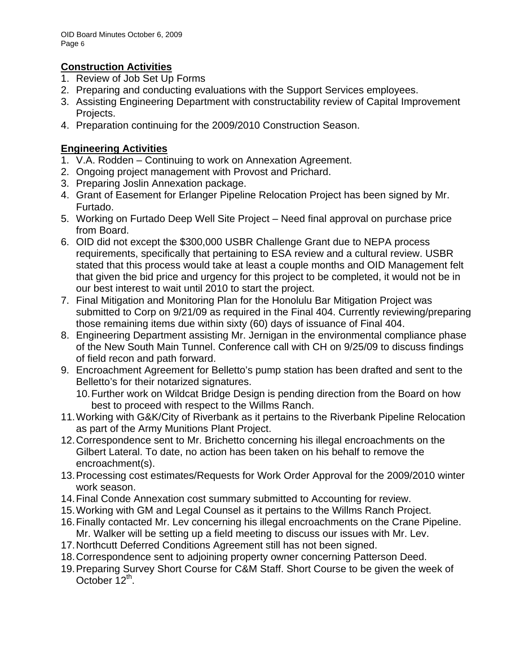# **Construction Activities**

- 1. Review of Job Set Up Forms
- 2. Preparing and conducting evaluations with the Support Services employees.
- 3. Assisting Engineering Department with constructability review of Capital Improvement Projects.
- 4. Preparation continuing for the 2009/2010 Construction Season.

# **Engineering Activities**

- 1. V.A. Rodden Continuing to work on Annexation Agreement.
- 2. Ongoing project management with Provost and Prichard.
- 3. Preparing Joslin Annexation package.
- 4. Grant of Easement for Erlanger Pipeline Relocation Project has been signed by Mr. Furtado.
- 5. Working on Furtado Deep Well Site Project Need final approval on purchase price from Board.
- 6. OID did not except the \$300,000 USBR Challenge Grant due to NEPA process requirements, specifically that pertaining to ESA review and a cultural review. USBR stated that this process would take at least a couple months and OID Management felt that given the bid price and urgency for this project to be completed, it would not be in our best interest to wait until 2010 to start the project.
- 7. Final Mitigation and Monitoring Plan for the Honolulu Bar Mitigation Project was submitted to Corp on 9/21/09 as required in the Final 404. Currently reviewing/preparing those remaining items due within sixty (60) days of issuance of Final 404.
- 8. Engineering Department assisting Mr. Jernigan in the environmental compliance phase of the New South Main Tunnel. Conference call with CH on 9/25/09 to discuss findings of field recon and path forward.
- 9. Encroachment Agreement for Belletto's pump station has been drafted and sent to the Belletto's for their notarized signatures.
	- 10. Further work on Wildcat Bridge Design is pending direction from the Board on how best to proceed with respect to the Willms Ranch.
- 11. Working with G&K/City of Riverbank as it pertains to the Riverbank Pipeline Relocation as part of the Army Munitions Plant Project.
- 12. Correspondence sent to Mr. Brichetto concerning his illegal encroachments on the Gilbert Lateral. To date, no action has been taken on his behalf to remove the encroachment(s).
- 13. Processing cost estimates/Requests for Work Order Approval for the 2009/2010 winter work season.
- 14. Final Conde Annexation cost summary submitted to Accounting for review.
- 15. Working with GM and Legal Counsel as it pertains to the Willms Ranch Project.
- 16. Finally contacted Mr. Lev concerning his illegal encroachments on the Crane Pipeline. Mr. Walker will be setting up a field meeting to discuss our issues with Mr. Lev.
- 17. Northcutt Deferred Conditions Agreement still has not been signed.
- 18. Correspondence sent to adjoining property owner concerning Patterson Deed.
- 19. Preparing Survey Short Course for C&M Staff. Short Course to be given the week of October  $12^{th}$ .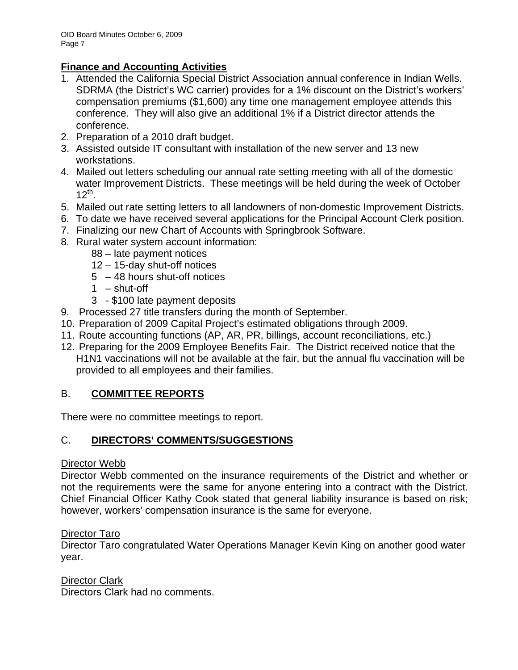# **Finance and Accounting Activities**

- 1. Attended the California Special District Association annual conference in Indian Wells. SDRMA (the District's WC carrier) provides for a 1% discount on the District's workers' compensation premiums (\$1,600) any time one management employee attends this conference. They will also give an additional 1% if a District director attends the conference.
- 2. Preparation of a 2010 draft budget.
- 3. Assisted outside IT consultant with installation of the new server and 13 new workstations.
- 4. Mailed out letters scheduling our annual rate setting meeting with all of the domestic water Improvement Districts. These meetings will be held during the week of October  $12^{th}$ .
- 5. Mailed out rate setting letters to all landowners of non-domestic Improvement Districts.
- 6. To date we have received several applications for the Principal Account Clerk position.
- 7. Finalizing our new Chart of Accounts with Springbrook Software.
- 8. Rural water system account information:
	- 88 late payment notices
	- 12 15-day shut-off notices
	- 5 48 hours shut-off notices
	- $1 -$ shut-off
	- 3 \$100 late payment deposits
- 9. Processed 27 title transfers during the month of September.
- 10. Preparation of 2009 Capital Project's estimated obligations through 2009.
- 11. Route accounting functions (AP, AR, PR, billings, account reconciliations, etc.)
- 12. Preparing for the 2009 Employee Benefits Fair. The District received notice that the H1N1 vaccinations will not be available at the fair, but the annual flu vaccination will be provided to all employees and their families.

# B. **COMMITTEE REPORTS**

There were no committee meetings to report.

## C. **DIRECTORS' COMMENTS/SUGGESTIONS**

## Director Webb

Director Webb commented on the insurance requirements of the District and whether or not the requirements were the same for anyone entering into a contract with the District. Chief Financial Officer Kathy Cook stated that general liability insurance is based on risk; however, workers' compensation insurance is the same for everyone.

## Director Taro

Director Taro congratulated Water Operations Manager Kevin King on another good water year.

Director Clark Directors Clark had no comments.